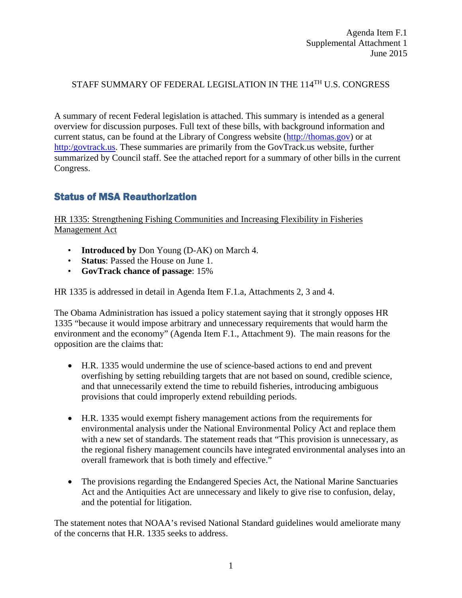#### STAFF SUMMARY OF FEDERAL LEGISLATION IN THE 114<sup>TH</sup> U.S. CONGRESS

A summary of recent Federal legislation is attached. This summary is intended as a general overview for discussion purposes. Full text of these bills, with background information and current status, can be found at the Library of Congress website [\(http://thomas.gov\)](http://thomas.gov/) or at [http:/govtrack.us.](http://govtrack.us/) These summaries are primarily from the GovTrack.us website, further summarized by Council staff. See the attached report for a summary of other bills in the current Congress.

## Status of MSA Reauthorization

HR 1335: Strengthening Fishing Communities and Increasing Flexibility in Fisheries Management Act

- **Introduced by** Don Young (D-AK) on March 4.
- **Status**: Passed the House on June 1.
- **GovTrack chance of passage**: 15%

HR 1335 is addressed in detail in Agenda Item F.1.a, Attachments 2, 3 and 4.

The Obama Administration has issued a policy statement saying that it strongly opposes HR 1335 "because it would impose arbitrary and unnecessary requirements that would harm the environment and the economy" (Agenda Item F.1., Attachment 9). The main reasons for the opposition are the claims that:

- H.R. 1335 would undermine the use of science-based actions to end and prevent overfishing by setting rebuilding targets that are not based on sound, credible science, and that unnecessarily extend the time to rebuild fisheries, introducing ambiguous provisions that could improperly extend rebuilding periods.
- H.R. 1335 would exempt fishery management actions from the requirements for environmental analysis under the National Environmental Policy Act and replace them with a new set of standards. The statement reads that "This provision is unnecessary, as the regional fishery management councils have integrated environmental analyses into an overall framework that is both timely and effective."
- The provisions regarding the Endangered Species Act, the National Marine Sanctuaries Act and the Antiquities Act are unnecessary and likely to give rise to confusion, delay, and the potential for litigation.

The statement notes that NOAA's revised National Standard guidelines would ameliorate many of the concerns that H.R. 1335 seeks to address.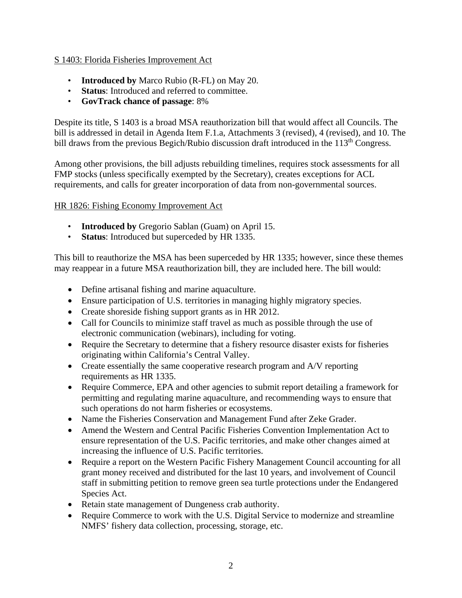#### S 1403: Florida Fisheries Improvement Act

- **Introduced by** Marco Rubio (R-FL) on May 20.
- **Status**: Introduced and referred to committee.
- **GovTrack chance of passage**: 8%

Despite its title, S 1403 is a broad MSA reauthorization bill that would affect all Councils. The bill is addressed in detail in Agenda Item F.1.a, Attachments 3 (revised), 4 (revised), and 10. The bill draws from the previous Begich/Rubio discussion draft introduced in the  $113<sup>th</sup>$  Congress.

Among other provisions, the bill adjusts rebuilding timelines, requires stock assessments for all FMP stocks (unless specifically exempted by the Secretary), creates exceptions for ACL requirements, and calls for greater incorporation of data from non-governmental sources.

#### HR 1826: Fishing Economy Improvement Act

- **Introduced by** Gregorio Sablan (Guam) on April 15.
- **Status**: Introduced but superceded by HR 1335.

This bill to reauthorize the MSA has been superceded by HR 1335; however, since these themes may reappear in a future MSA reauthorization bill, they are included here. The bill would:

- Define artisanal fishing and marine aquaculture.
- Ensure participation of U.S. territories in managing highly migratory species.
- Create shoreside fishing support grants as in HR 2012.
- Call for Councils to minimize staff travel as much as possible through the use of electronic communication (webinars), including for voting.
- Require the Secretary to determine that a fishery resource disaster exists for fisheries originating within California's Central Valley.
- Create essentially the same cooperative research program and A/V reporting requirements as HR 1335.
- Require Commerce, EPA and other agencies to submit report detailing a framework for permitting and regulating marine aquaculture, and recommending ways to ensure that such operations do not harm fisheries or ecosystems.
- Name the Fisheries Conservation and Management Fund after Zeke Grader.
- Amend the Western and Central Pacific Fisheries Convention Implementation Act to ensure representation of the U.S. Pacific territories, and make other changes aimed at increasing the influence of U.S. Pacific territories.
- Require a report on the Western Pacific Fishery Management Council accounting for all grant money received and distributed for the last 10 years, and involvement of Council staff in submitting petition to remove green sea turtle protections under the Endangered Species Act.
- Retain state management of Dungeness crab authority.
- Require Commerce to work with the U.S. Digital Service to modernize and streamline NMFS' fishery data collection, processing, storage, etc.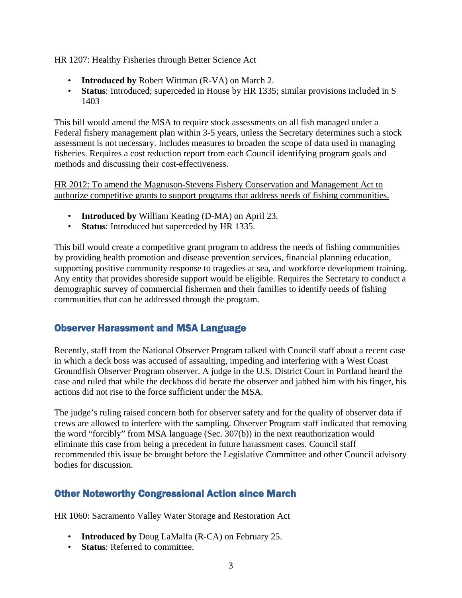#### HR 1207: Healthy Fisheries through Better Science Act

- **Introduced by** Robert Wittman (R-VA) on March 2.
- **Status**: Introduced; superceded in House by HR 1335; similar provisions included in S 1403

This bill would amend the MSA to require stock assessments on all fish managed under a Federal fishery management plan within 3-5 years, unless the Secretary determines such a stock assessment is not necessary. Includes measures to broaden the scope of data used in managing fisheries. Requires a cost reduction report from each Council identifying program goals and methods and discussing their cost-effectiveness.

HR 2012: To amend the Magnuson-Stevens Fishery Conservation and Management Act to authorize competitive grants to support programs that address needs of fishing communities.

- **Introduced by** William Keating (D-MA) on April 23.
- **Status**: Introduced but superceded by HR 1335.

This bill would create a competitive grant program to address the needs of fishing communities by providing health promotion and disease prevention services, financial planning education, supporting positive community response to tragedies at sea, and workforce development training. Any entity that provides shoreside support would be eligible. Requires the Secretary to conduct a demographic survey of commercial fishermen and their families to identify needs of fishing communities that can be addressed through the program.

## Observer Harassment and MSA Language

Recently, staff from the National Observer Program talked with Council staff about a recent case in which a deck boss was accused of assaulting, impeding and interfering with a West Coast Groundfish Observer Program observer. A judge in the U.S. District Court in Portland heard the case and ruled that while the deckboss did berate the observer and jabbed him with his finger, his actions did not rise to the force sufficient under the MSA.

The judge's ruling raised concern both for observer safety and for the quality of observer data if crews are allowed to interfere with the sampling. Observer Program staff indicated that removing the word "forcibly" from MSA language (Sec. 307(b)) in the next reauthorization would eliminate this case from being a precedent in future harassment cases. Council staff recommended this issue be brought before the Legislative Committee and other Council advisory bodies for discussion.

## Other Noteworthy Congressional Action since March

HR 1060: Sacramento Valley Water Storage and Restoration Act

- **Introduced by** Doug LaMalfa (R-CA) on February 25.
- **Status**: Referred to committee.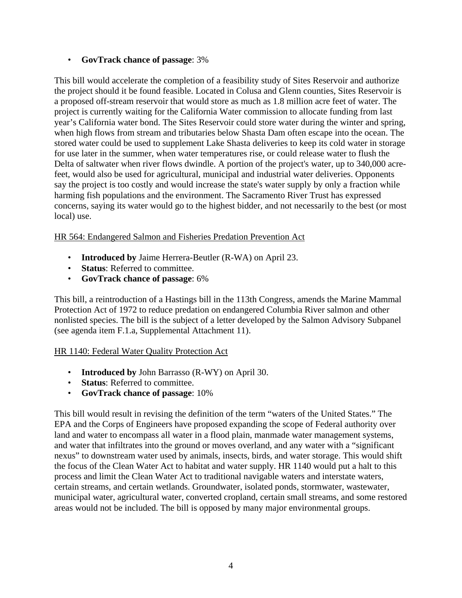#### • **GovTrack chance of passage**: 3%

This bill would accelerate the completion of a feasibility study of Sites Reservoir and authorize the project should it be found feasible. Located in Colusa and Glenn counties, Sites Reservoir is a proposed off-stream reservoir that would store as much as 1.8 million acre feet of water. The project is currently waiting for the California Water commission to allocate funding from last year's California water bond. The Sites Reservoir could store water during the winter and spring, when high flows from stream and tributaries below Shasta Dam often escape into the ocean. The stored water could be used to supplement Lake Shasta deliveries to keep its cold water in storage for use later in the summer, when water temperatures rise, or could release water to flush the Delta of saltwater when river flows dwindle. A portion of the project's water, up to 340,000 acrefeet, would also be used for agricultural, municipal and industrial water deliveries. Opponents say the project is too costly and would increase the state's water supply by only a fraction while harming fish populations and the environment. The Sacramento River Trust has expressed concerns, saying its water would go to the highest bidder, and not necessarily to the best (or most local) use.

HR 564: Endangered Salmon and Fisheries Predation Prevention Act

- **Introduced by** Jaime Herrera-Beutler (R-WA) on April 23.
- **Status**: Referred to committee.
- **GovTrack chance of passage**: 6%

This bill, a reintroduction of a Hastings bill in the 113th Congress, amends the Marine Mammal Protection Act of 1972 to reduce predation on endangered Columbia River salmon and other nonlisted species. The bill is the subject of a letter developed by the Salmon Advisory Subpanel (see agenda item F.1.a, Supplemental Attachment 11).

#### HR 1140: Federal Water Quality Protection Act

- **Introduced by** John Barrasso (R-WY) on April 30.
- **Status**: Referred to committee.
- **GovTrack chance of passage**: 10%

This bill would result in revising the definition of the term "waters of the United States." The EPA and the Corps of Engineers have proposed expanding the scope of Federal authority over land and water to encompass all water in a flood plain, manmade water management systems, and water that infiltrates into the ground or moves overland, and any water with a "significant nexus" to downstream water used by animals, insects, birds, and water storage. This would shift the focus of the Clean Water Act to habitat and water supply. HR 1140 would put a halt to this process and limit the Clean Water Act to traditional navigable waters and interstate waters, certain streams, and certain wetlands. Groundwater, isolated ponds, stormwater, wastewater, municipal water, agricultural water, converted cropland, certain small streams, and some restored areas would not be included. The bill is opposed by many major environmental groups.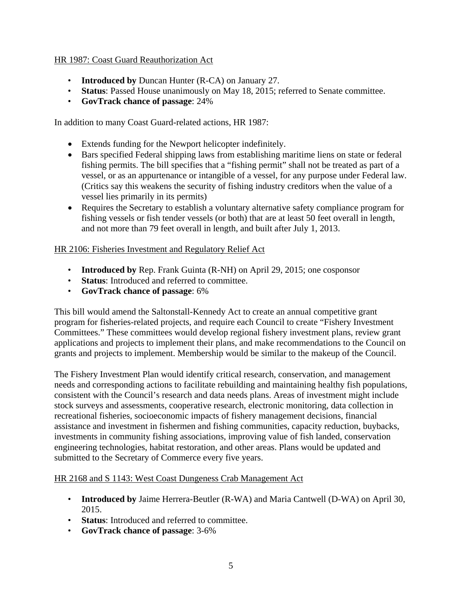#### HR 1987: Coast Guard Reauthorization Act

- **Introduced by** Duncan Hunter (R-CA) on January 27.
- **Status**: Passed House unanimously on May 18, 2015; referred to Senate committee.
- **GovTrack chance of passage**: 24%

In addition to many Coast Guard-related actions, HR 1987:

- Extends funding for the Newport helicopter indefinitely.
- Bars specified Federal shipping laws from establishing maritime liens on state or federal fishing permits. The bill specifies that a "fishing permit" shall not be treated as part of a vessel, or as an appurtenance or intangible of a vessel, for any purpose under Federal law. (Critics say this weakens the security of fishing industry creditors when the value of a vessel lies primarily in its permits)
- Requires the Secretary to establish a voluntary alternative safety compliance program for fishing vessels or fish tender vessels (or both) that are at least 50 feet overall in length, and not more than 79 feet overall in length, and built after July 1, 2013.

#### HR 2106: Fisheries Investment and Regulatory Relief Act

- **Introduced by** Rep. Frank Guinta (R-NH) on April 29, 2015; one cosponsor
- **Status**: Introduced and referred to committee.
- **GovTrack chance of passage**: 6%

This bill would amend the Saltonstall-Kennedy Act to create an annual competitive grant program for fisheries-related projects, and require each Council to create "Fishery Investment Committees." These committees would develop regional fishery investment plans, review grant applications and projects to implement their plans, and make recommendations to the Council on grants and projects to implement. Membership would be similar to the makeup of the Council.

The Fishery Investment Plan would identify critical research, conservation, and management needs and corresponding actions to facilitate rebuilding and maintaining healthy fish populations, consistent with the Council's research and data needs plans. Areas of investment might include stock surveys and assessments, cooperative research, electronic monitoring, data collection in recreational fisheries, socioeconomic impacts of fishery management decisions, financial assistance and investment in fishermen and fishing communities, capacity reduction, buybacks, investments in community fishing associations, improving value of fish landed, conservation engineering technologies, habitat restoration, and other areas. Plans would be updated and submitted to the Secretary of Commerce every five years.

#### HR 2168 and S 1143: West Coast Dungeness Crab Management Act

- **Introduced by** Jaime Herrera-Beutler (R-WA) and Maria Cantwell (D-WA) on April 30, 2015.
- **Status**: Introduced and referred to committee.
- **GovTrack chance of passage**: 3-6%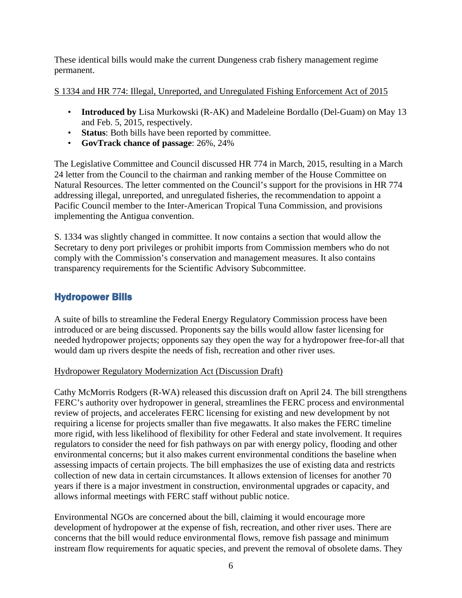These identical bills would make the current Dungeness crab fishery management regime permanent.

#### S 1334 and HR 774: Illegal, Unreported, and Unregulated Fishing Enforcement Act of 2015

- **Introduced by** Lisa Murkowski (R-AK) and Madeleine Bordallo (Del-Guam) on May 13 and Feb. 5, 2015, respectively.
- **Status**: Both bills have been reported by committee.
- **GovTrack chance of passage**: 26%, 24%

The Legislative Committee and Council discussed HR 774 in March, 2015, resulting in a March 24 letter from the Council to the chairman and ranking member of the House Committee on Natural Resources. The letter commented on the Council's support for the provisions in HR 774 addressing illegal, unreported, and unregulated fisheries, the recommendation to appoint a Pacific Council member to the Inter-American Tropical Tuna Commission, and provisions implementing the Antigua convention.

S. 1334 was slightly changed in committee. It now contains a section that would allow the Secretary to deny port privileges or prohibit imports from Commission members who do not comply with the Commission's conservation and management measures. It also contains transparency requirements for the Scientific Advisory Subcommittee.

# Hydropower Bills

A suite of bills to streamline the Federal Energy Regulatory Commission process have been introduced or are being discussed. Proponents say the bills would allow faster licensing for needed hydropower projects; opponents say they open the way for a hydropower free-for-all that would dam up rivers despite the needs of fish, recreation and other river uses.

## Hydropower Regulatory Modernization Act (Discussion Draft)

Cathy McMorris Rodgers (R-WA) released this discussion draft on April 24. The bill strengthens FERC's authority over hydropower in general, streamlines the FERC process and environmental review of projects, and accelerates FERC licensing for existing and new development by not requiring a license for projects smaller than five megawatts. It also makes the FERC timeline more rigid, with less likelihood of flexibility for other Federal and state involvement. It requires regulators to consider the need for fish pathways on par with energy policy, flooding and other environmental concerns; but it also makes current environmental conditions the baseline when assessing impacts of certain projects. The bill emphasizes the use of existing data and restricts collection of new data in certain circumstances. It allows extension of licenses for another 70 years if there is a major investment in construction, environmental upgrades or capacity, and allows informal meetings with FERC staff without public notice.

Environmental NGOs are concerned about the bill, claiming it would encourage more development of hydropower at the expense of fish, recreation, and other river uses. There are concerns that the bill would reduce environmental flows, remove fish passage and minimum instream flow requirements for aquatic species, and prevent the removal of obsolete dams. They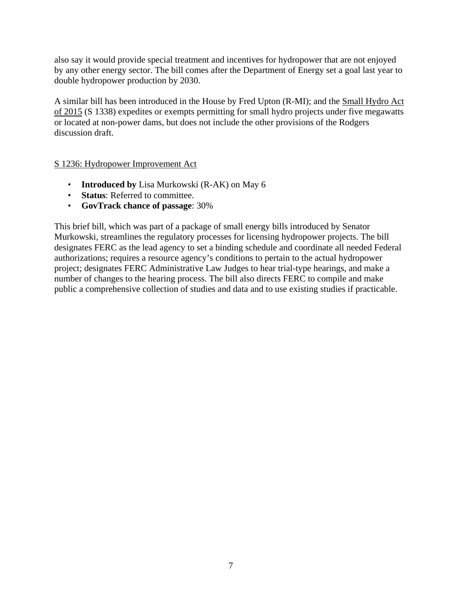also say it would provide special treatment and incentives for hydropower that are not enjoyed by any other energy sector. The bill comes after the Department of Energy set a goal last year to double hydropower production by 2030.

A similar bill has been introduced in the House by Fred Upton (R-MI); and the Small Hydro Act of 2015 (S 1338) expedites or exempts permitting for small hydro projects under five megawatts or located at non-power dams, but does not include the other provisions of the Rodgers discussion draft.

S 1236: Hydropower Improvement Act

- **Introduced by** Lisa Murkowski (R-AK) on May 6
- **Status**: Referred to committee.
- **GovTrack chance of passage**: 30%

This brief bill, which was part of a package of small energy bills introduced by Senator Murkowski, streamlines the regulatory processes for licensing hydropower projects. The bill designates FERC as the lead agency to set a binding schedule and coordinate all needed Federal authorizations; requires a resource agency's conditions to pertain to the actual hydropower project; designates FERC Administrative Law Judges to hear trial-type hearings, and make a number of changes to the hearing process. The bill also directs FERC to compile and make public a comprehensive collection of studies and data and to use existing studies if practicable.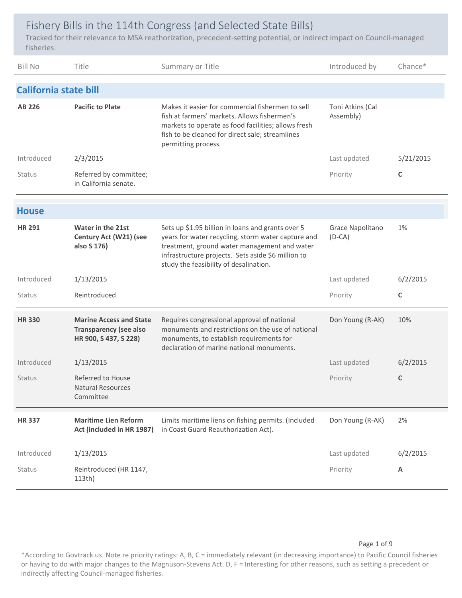# Fishery Bills in the 114th Congress (and Selected State Bills)

Tracked for their relevance to MSA reathorization, precedent‐setting potential, or indirect impact on Council‐managed fisheries.

| <b>Bill No</b>               | Title                                                                                    | Summary or Title                                                                                                                                                                                                                                        | Introduced by                 | Chance*      |
|------------------------------|------------------------------------------------------------------------------------------|---------------------------------------------------------------------------------------------------------------------------------------------------------------------------------------------------------------------------------------------------------|-------------------------------|--------------|
| <b>California state bill</b> |                                                                                          |                                                                                                                                                                                                                                                         |                               |              |
| <b>AB 226</b>                | <b>Pacific to Plate</b>                                                                  | Makes it easier for commercial fishermen to sell<br>fish at farmers' markets. Allows fishermen's<br>markets to operate as food facilities; allows fresh<br>fish to be cleaned for direct sale; streamlines<br>permitting process.                       | Toni Atkins (Cal<br>Assembly) |              |
| Introduced                   | 2/3/2015                                                                                 |                                                                                                                                                                                                                                                         | Last updated                  | 5/21/2015    |
| Status                       | Referred by committee;<br>in California senate.                                          |                                                                                                                                                                                                                                                         | Priority                      | C            |
| <b>House</b>                 |                                                                                          |                                                                                                                                                                                                                                                         |                               |              |
| <b>HR 291</b>                | <b>Water in the 21st</b><br>Century Act (W21) (see<br>also S 176)                        | Sets up \$1.95 billion in loans and grants over 5<br>years for water recycling, storm water capture and<br>treatment, ground water management and water<br>infrastructure projects. Sets aside \$6 million to<br>study the feasibility of desalination. | Grace Napolitano<br>$(D-CA)$  | 1%           |
|                              |                                                                                          |                                                                                                                                                                                                                                                         |                               |              |
| Introduced                   | 1/13/2015                                                                                |                                                                                                                                                                                                                                                         | Last updated                  | 6/2/2015     |
| Status                       | Reintroduced                                                                             |                                                                                                                                                                                                                                                         | Priority                      | $\mathsf{C}$ |
| <b>HR330</b>                 | <b>Marine Access and State</b><br><b>Transparency (see also</b><br>HR 900, S 437, S 228) | Requires congressional approval of national<br>monuments and restrictions on the use of national<br>monuments, to establish requirements for<br>declaration of marine national monuments.                                                               | Don Young (R-AK)              | 10%          |
| Introduced                   | 1/13/2015                                                                                |                                                                                                                                                                                                                                                         | Last updated                  | 6/2/2015     |
| <b>Status</b>                | Referred to House<br><b>Natural Resources</b><br>Committee                               |                                                                                                                                                                                                                                                         | Priority                      | C            |
| <b>HR337</b>                 | <b>Maritime Lien Reform</b><br>Act (included in HR 1987)                                 | Limits maritime liens on fishing permits. (Included<br>in Coast Guard Reauthorization Act).                                                                                                                                                             | Don Young (R-AK)              | 2%           |
| Introduced                   | 1/13/2015                                                                                |                                                                                                                                                                                                                                                         | Last updated                  | 6/2/2015     |

Page 1 of 9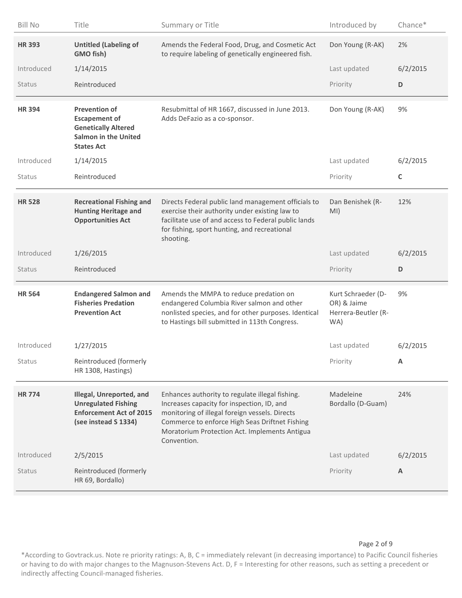| <b>Bill No</b> | Title                                                                                                                          | Summary or Title                                                                                                                                                                                                                                                  | Introduced by                                                   | Chance*     |
|----------------|--------------------------------------------------------------------------------------------------------------------------------|-------------------------------------------------------------------------------------------------------------------------------------------------------------------------------------------------------------------------------------------------------------------|-----------------------------------------------------------------|-------------|
| <b>HR 393</b>  | <b>Untitled (Labeling of</b><br>GMO fish)                                                                                      | Amends the Federal Food, Drug, and Cosmetic Act<br>to require labeling of genetically engineered fish.                                                                                                                                                            | Don Young (R-AK)                                                | 2%          |
| Introduced     | 1/14/2015                                                                                                                      |                                                                                                                                                                                                                                                                   | Last updated                                                    | 6/2/2015    |
| <b>Status</b>  | Reintroduced                                                                                                                   |                                                                                                                                                                                                                                                                   | Priority                                                        | D           |
| <b>HR394</b>   | <b>Prevention of</b><br><b>Escapement of</b><br><b>Genetically Altered</b><br><b>Salmon in the United</b><br><b>States Act</b> | Resubmittal of HR 1667, discussed in June 2013.<br>Adds DeFazio as a co-sponsor.                                                                                                                                                                                  | Don Young (R-AK)                                                | 9%          |
| Introduced     | 1/14/2015                                                                                                                      |                                                                                                                                                                                                                                                                   | Last updated                                                    | 6/2/2015    |
| <b>Status</b>  | Reintroduced                                                                                                                   |                                                                                                                                                                                                                                                                   | Priority                                                        | $\mathsf C$ |
| <b>HR 528</b>  | <b>Recreational Fishing and</b><br><b>Hunting Heritage and</b><br><b>Opportunities Act</b>                                     | Directs Federal public land management officials to<br>exercise their authority under existing law to<br>facilitate use of and access to Federal public lands<br>for fishing, sport hunting, and recreational<br>shooting.                                        | Dan Benishek (R-<br>MI)                                         | 12%         |
|                |                                                                                                                                |                                                                                                                                                                                                                                                                   |                                                                 |             |
| Introduced     | 1/26/2015                                                                                                                      |                                                                                                                                                                                                                                                                   | Last updated                                                    | 6/2/2015    |
| <b>Status</b>  | Reintroduced                                                                                                                   |                                                                                                                                                                                                                                                                   | Priority                                                        | D           |
| <b>HR 564</b>  | <b>Endangered Salmon and</b><br><b>Fisheries Predation</b><br><b>Prevention Act</b>                                            | Amends the MMPA to reduce predation on<br>endangered Columbia River salmon and other<br>nonlisted species, and for other purposes. Identical<br>to Hastings bill submitted in 113th Congress.                                                                     | Kurt Schraeder (D-<br>OR) & Jaime<br>Herrera-Beutler (R-<br>WA) | 9%          |
| Introduced     | 1/27/2015                                                                                                                      |                                                                                                                                                                                                                                                                   | Last updated                                                    | 6/2/2015    |
| Status         | Reintroduced (formerly<br>HR 1308, Hastings)                                                                                   |                                                                                                                                                                                                                                                                   | Priority                                                        | Α           |
| <b>HR774</b>   | Illegal, Unreported, and<br><b>Unregulated Fishing</b><br><b>Enforcement Act of 2015</b><br>(see instead S 1334)               | Enhances authority to regulate illegal fishing.<br>Increases capacity for inspection, ID, and<br>monitoring of illegal foreign vessels. Directs<br>Commerce to enforce High Seas Driftnet Fishing<br>Moratorium Protection Act. Implements Antigua<br>Convention. | Madeleine<br>Bordallo (D-Guam)                                  | 24%         |
| Introduced     | 2/5/2015                                                                                                                       |                                                                                                                                                                                                                                                                   | Last updated                                                    | 6/2/2015    |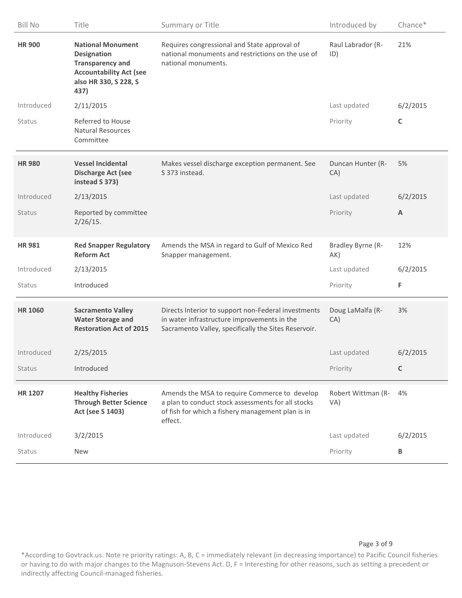| <b>Bill No</b> | Title                                                                                                                                        | Summary or Title                                                                                                                                                    | Introduced by             | Chance*  |
|----------------|----------------------------------------------------------------------------------------------------------------------------------------------|---------------------------------------------------------------------------------------------------------------------------------------------------------------------|---------------------------|----------|
| <b>HR 900</b>  | <b>National Monument</b><br><b>Designation</b><br><b>Transparency and</b><br><b>Accountability Act (see</b><br>also HR 330, S 228, S<br>437) | Requires congressional and State approval of<br>national monuments and restrictions on the use of<br>national monuments.                                            | Raul Labrador (R-<br>ID)  | 21%      |
| Introduced     | 2/11/2015                                                                                                                                    |                                                                                                                                                                     | Last updated              | 6/2/2015 |
| Status         | Referred to House<br><b>Natural Resources</b><br>Committee                                                                                   |                                                                                                                                                                     | Priority                  | C        |
| <b>HR 980</b>  | <b>Vessel Incidental</b><br><b>Discharge Act (see</b><br>instead S 373)                                                                      | Makes vessel discharge exception permanent. See<br>S 373 instead.                                                                                                   | Duncan Hunter (R-<br>CA)  | 5%       |
| Introduced     | 2/13/2015                                                                                                                                    |                                                                                                                                                                     | Last updated              | 6/2/2015 |
| Status         | Reported by committee<br>2/26/15.                                                                                                            |                                                                                                                                                                     | Priority                  | A        |
| <b>HR981</b>   | <b>Red Snapper Regulatory</b><br><b>Reform Act</b>                                                                                           | Amends the MSA in regard to Gulf of Mexico Red<br>Snapper management.                                                                                               | Bradley Byrne (R-<br>AK)  | 12%      |
| Introduced     | 2/13/2015                                                                                                                                    |                                                                                                                                                                     | Last updated              | 6/2/2015 |
| Status         | Introduced                                                                                                                                   |                                                                                                                                                                     | Priority                  | F        |
| <b>HR 1060</b> | <b>Sacramento Valley</b><br><b>Water Storage and</b><br><b>Restoration Act of 2015</b>                                                       | Directs Interior to support non-Federal investments<br>in water infrastructure improvements in the<br>Sacramento Valley, specifically the Sites Reservoir.          | Doug LaMalfa (R-<br>CA)   | 3%       |
| Introduced     | 2/25/2015                                                                                                                                    |                                                                                                                                                                     | Last updated              | 6/2/2015 |
| <b>Status</b>  | Introduced                                                                                                                                   |                                                                                                                                                                     | Priority                  | C        |
| <b>HR 1207</b> | <b>Healthy Fisheries</b><br><b>Through Better Science</b><br>Act (see S 1403)                                                                | Amends the MSA to require Commerce to develop<br>a plan to conduct stock assessments for all stocks<br>of fish for which a fishery management plan is in<br>effect. | Robert Wittman (R-<br>VA) | 4%       |
| Introduced     | 3/2/2015                                                                                                                                     |                                                                                                                                                                     | Last updated              | 6/2/2015 |
| Status         | New                                                                                                                                          |                                                                                                                                                                     | Priority                  | В        |

Page 3 of 9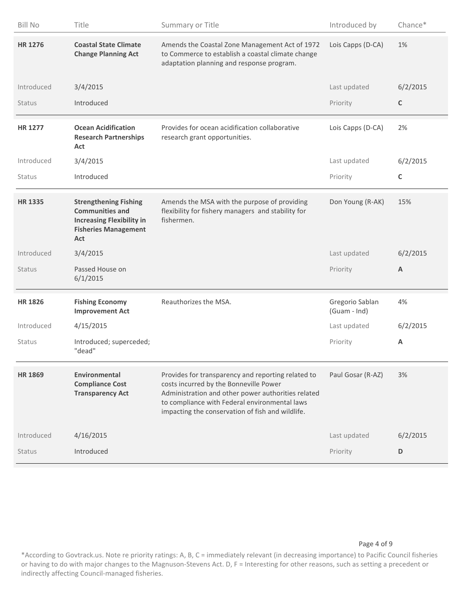| <b>Bill No</b> | Title                                                                                                                            | Summary or Title                                                                                                                                                                                                                                        | Introduced by                   | Chance*     |
|----------------|----------------------------------------------------------------------------------------------------------------------------------|---------------------------------------------------------------------------------------------------------------------------------------------------------------------------------------------------------------------------------------------------------|---------------------------------|-------------|
| <b>HR 1276</b> | <b>Coastal State Climate</b><br><b>Change Planning Act</b>                                                                       | Amends the Coastal Zone Management Act of 1972<br>to Commerce to establish a coastal climate change<br>adaptation planning and response program.                                                                                                        | Lois Capps (D-CA)               | 1%          |
| Introduced     | 3/4/2015                                                                                                                         |                                                                                                                                                                                                                                                         | Last updated                    | 6/2/2015    |
| <b>Status</b>  | Introduced                                                                                                                       |                                                                                                                                                                                                                                                         | Priority                        | $\mathsf C$ |
| <b>HR 1277</b> | <b>Ocean Acidification</b><br><b>Research Partnerships</b><br>Act                                                                | Provides for ocean acidification collaborative<br>research grant opportunities.                                                                                                                                                                         | Lois Capps (D-CA)               | 2%          |
| Introduced     | 3/4/2015                                                                                                                         |                                                                                                                                                                                                                                                         | Last updated                    | 6/2/2015    |
| Status         | Introduced                                                                                                                       |                                                                                                                                                                                                                                                         | Priority                        | $\mathsf C$ |
| <b>HR 1335</b> | <b>Strengthening Fishing</b><br><b>Communities and</b><br><b>Increasing Flexibility in</b><br><b>Fisheries Management</b><br>Act | Amends the MSA with the purpose of providing<br>flexibility for fishery managers and stability for<br>fishermen.                                                                                                                                        | Don Young (R-AK)                | 15%         |
| Introduced     | 3/4/2015                                                                                                                         |                                                                                                                                                                                                                                                         | Last updated                    | 6/2/2015    |
|                |                                                                                                                                  |                                                                                                                                                                                                                                                         |                                 |             |
| <b>Status</b>  | Passed House on<br>6/1/2015                                                                                                      |                                                                                                                                                                                                                                                         | Priority                        | A           |
| <b>HR 1826</b> | <b>Fishing Economy</b><br><b>Improvement Act</b>                                                                                 | Reauthorizes the MSA.                                                                                                                                                                                                                                   | Gregorio Sablan<br>(Guam - Ind) | 4%          |
| Introduced     | 4/15/2015                                                                                                                        |                                                                                                                                                                                                                                                         | Last updated                    | 6/2/2015    |
| <b>Status</b>  | Introduced; superceded;<br>"dead"                                                                                                |                                                                                                                                                                                                                                                         | Priority                        | A           |
| <b>HR 1869</b> | Environmental<br><b>Compliance Cost</b><br><b>Transparency Act</b>                                                               | Provides for transparency and reporting related to<br>costs incurred by the Bonneville Power<br>Administration and other power authorities related<br>to compliance with Federal environmental laws<br>impacting the conservation of fish and wildlife. | Paul Gosar (R-AZ)               | 3%          |
| Introduced     | 4/16/2015                                                                                                                        |                                                                                                                                                                                                                                                         | Last updated                    | 6/2/2015    |

#### Page 4 of 9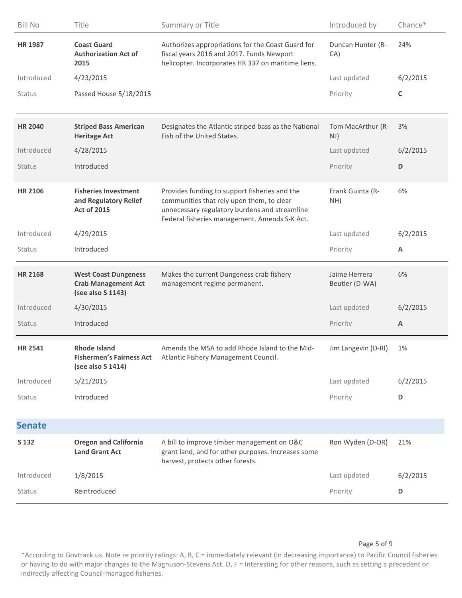| <b>Bill No</b> | Title                                                                          | Summary or Title                                                                                                                                                                             | Introduced by                   | Chance*        |
|----------------|--------------------------------------------------------------------------------|----------------------------------------------------------------------------------------------------------------------------------------------------------------------------------------------|---------------------------------|----------------|
| <b>HR 1987</b> | <b>Coast Guard</b><br><b>Authorization Act of</b><br>2015                      | Authorizes appropriations for the Coast Guard for<br>fiscal years 2016 and 2017. Funds Newport<br>helicopter. Incorporates HR 337 on maritime liens.                                         | Duncan Hunter (R-<br>CA)        | 24%            |
| Introduced     | 4/23/2015                                                                      |                                                                                                                                                                                              | Last updated                    | 6/2/2015       |
| Status         | Passed House 5/18/2015                                                         |                                                                                                                                                                                              | Priority                        | C              |
| <b>HR 2040</b> | <b>Striped Bass American</b><br><b>Heritage Act</b>                            | Designates the Atlantic striped bass as the National<br>Fish of the United States.                                                                                                           | Tom MacArthur (R-<br>NJ)        | 3%             |
| Introduced     | 4/28/2015                                                                      |                                                                                                                                                                                              | Last updated                    | 6/2/2015       |
| Status         | Introduced                                                                     |                                                                                                                                                                                              | Priority                        | D              |
| <b>HR 2106</b> | <b>Fisheries Investment</b><br>and Regulatory Relief<br><b>Act of 2015</b>     | Provides funding to support fisheries and the<br>communities that rely upon them, to clear<br>unnecessary regulatory burdens and streamline<br>Federal fisheries management. Amends S-K Act. | Frank Guinta (R-<br>NH)         | 6%             |
| Introduced     | 4/29/2015                                                                      |                                                                                                                                                                                              | Last updated                    | 6/2/2015       |
| Status         | Introduced                                                                     |                                                                                                                                                                                              | Priority                        | A              |
|                |                                                                                |                                                                                                                                                                                              |                                 |                |
| <b>HR 2168</b> | <b>West Coast Dungeness</b><br><b>Crab Management Act</b><br>(see also S 1143) | Makes the current Dungeness crab fishery<br>management regime permanent.                                                                                                                     | Jaime Herrera<br>Beutler (D-WA) | 6%             |
| Introduced     | 4/30/2015                                                                      |                                                                                                                                                                                              | Last updated                    | 6/2/2015       |
| Status         | Introduced                                                                     |                                                                                                                                                                                              | Priority                        | $\overline{A}$ |
| <b>HR 2541</b> | <b>Rhode Island</b><br>(see also S 1414)                                       | Amends the MSA to add Rhode Island to the Mid-<br>Fishermen's Fairness Act Atlantic Fishery Management Council.                                                                              | Jim Langevin (D-RI)             | 1%             |
| Introduced     | 5/21/2015                                                                      |                                                                                                                                                                                              | Last updated                    | 6/2/2015       |
| Status         | Introduced                                                                     |                                                                                                                                                                                              | Priority                        | D              |
| <b>Senate</b>  |                                                                                |                                                                                                                                                                                              |                                 |                |
| S 132          | <b>Oregon and California</b><br><b>Land Grant Act</b>                          | A bill to improve timber management on O&C<br>grant land, and for other purposes. Increases some<br>harvest, protects other forests.                                                         | Ron Wyden (D-OR)                | 21%            |
| Introduced     | 1/8/2015                                                                       |                                                                                                                                                                                              | Last updated                    | 6/2/2015       |

#### Page 5 of 9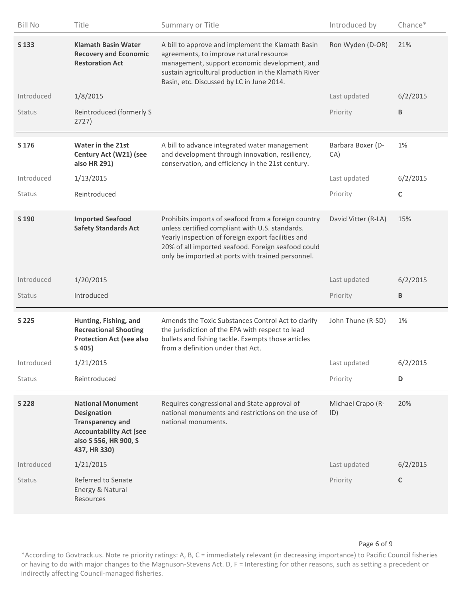| <b>Bill No</b> | Title                                                                                                                                                | Summary or Title                                                                                                                                                                                                                                                        | Introduced by            | Chance*  |
|----------------|------------------------------------------------------------------------------------------------------------------------------------------------------|-------------------------------------------------------------------------------------------------------------------------------------------------------------------------------------------------------------------------------------------------------------------------|--------------------------|----------|
| S 133          | <b>Klamath Basin Water</b><br><b>Recovery and Economic</b><br><b>Restoration Act</b>                                                                 | A bill to approve and implement the Klamath Basin<br>agreements, to improve natural resource<br>management, support economic development, and<br>sustain agricultural production in the Klamath River<br>Basin, etc. Discussed by LC in June 2014.                      | Ron Wyden (D-OR)         | 21%      |
| Introduced     | 1/8/2015                                                                                                                                             |                                                                                                                                                                                                                                                                         | Last updated             | 6/2/2015 |
| <b>Status</b>  | Reintroduced (formerly S<br>2727)                                                                                                                    |                                                                                                                                                                                                                                                                         | Priority                 | В        |
| S 176          | <b>Water in the 21st</b><br>Century Act (W21) (see<br>also HR 291)                                                                                   | A bill to advance integrated water management<br>and development through innovation, resiliency,<br>conservation, and efficiency in the 21st century.                                                                                                                   | Barbara Boxer (D-<br>CA) | 1%       |
| Introduced     | 1/13/2015                                                                                                                                            |                                                                                                                                                                                                                                                                         | Last updated             | 6/2/2015 |
| <b>Status</b>  | Reintroduced                                                                                                                                         |                                                                                                                                                                                                                                                                         | Priority                 | C        |
| S 190          | <b>Imported Seafood</b><br><b>Safety Standards Act</b>                                                                                               | Prohibits imports of seafood from a foreign country<br>unless certified compliant with U.S. standards.<br>Yearly inspection of foreign export facilities and<br>20% of all imported seafood. Foreign seafood could<br>only be imported at ports with trained personnel. | David Vitter (R-LA)      | 15%      |
|                |                                                                                                                                                      |                                                                                                                                                                                                                                                                         |                          |          |
| Introduced     | 1/20/2015                                                                                                                                            |                                                                                                                                                                                                                                                                         | Last updated             | 6/2/2015 |
| <b>Status</b>  | Introduced                                                                                                                                           |                                                                                                                                                                                                                                                                         | Priority                 | B        |
| S 225          | Hunting, Fishing, and<br><b>Recreational Shooting</b><br><b>Protection Act (see also</b><br>S 405)                                                   | Amends the Toxic Substances Control Act to clarify<br>the jurisdiction of the EPA with respect to lead<br>bullets and fishing tackle. Exempts those articles<br>from a definition under that Act.                                                                       | John Thune (R-SD)        | 1%       |
| Introduced     | 1/21/2015                                                                                                                                            |                                                                                                                                                                                                                                                                         | Last updated             | 6/2/2015 |
| <b>Status</b>  | Reintroduced                                                                                                                                         |                                                                                                                                                                                                                                                                         | Priority                 | D        |
| S 228          | <b>National Monument</b><br><b>Designation</b><br><b>Transparency and</b><br><b>Accountability Act (see</b><br>also S 556, HR 900, S<br>437, HR 330) | Requires congressional and State approval of<br>national monuments and restrictions on the use of<br>national monuments.                                                                                                                                                | Michael Crapo (R-<br>ID) | 20%      |
| Introduced     | 1/21/2015                                                                                                                                            |                                                                                                                                                                                                                                                                         | Last updated             | 6/2/2015 |

Page 6 of 9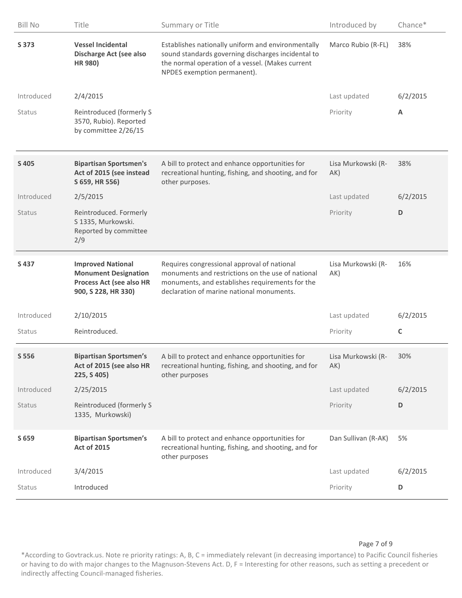| <b>Bill No</b> | Title                                                                                                      | Summary or Title                                                                                                                                                                                 | Introduced by             | Chance*     |
|----------------|------------------------------------------------------------------------------------------------------------|--------------------------------------------------------------------------------------------------------------------------------------------------------------------------------------------------|---------------------------|-------------|
| S 373          | <b>Vessel Incidental</b><br><b>Discharge Act (see also</b><br>HR 980)                                      | Establishes nationally uniform and environmentally<br>sound standards governing discharges incidental to<br>the normal operation of a vessel. (Makes current<br>NPDES exemption permanent).      | Marco Rubio (R-FL)        | 38%         |
| Introduced     | 2/4/2015                                                                                                   |                                                                                                                                                                                                  | Last updated              | 6/2/2015    |
| Status         | Reintroduced (formerly S<br>3570, Rubio). Reported<br>by committee 2/26/15                                 |                                                                                                                                                                                                  | Priority                  | A           |
| S 405          | <b>Bipartisan Sportsmen's</b><br>Act of 2015 (see instead<br>S 659, HR 556)                                | A bill to protect and enhance opportunities for<br>recreational hunting, fishing, and shooting, and for<br>other purposes.                                                                       | Lisa Murkowski (R-<br>AK) | 38%         |
| Introduced     | 2/5/2015                                                                                                   |                                                                                                                                                                                                  | Last updated              | 6/2/2015    |
| Status         | Reintroduced. Formerly<br>S 1335, Murkowski.<br>Reported by committee<br>2/9                               |                                                                                                                                                                                                  | Priority                  | D           |
| S437           | <b>Improved National</b><br><b>Monument Designation</b><br>Process Act (see also HR<br>900, S 228, HR 330) | Requires congressional approval of national<br>monuments and restrictions on the use of national<br>monuments, and establishes requirements for the<br>declaration of marine national monuments. | Lisa Murkowski (R-<br>AK) | 16%         |
| Introduced     | 2/10/2015                                                                                                  |                                                                                                                                                                                                  | Last updated              | 6/2/2015    |
| Status         | Reintroduced.                                                                                              |                                                                                                                                                                                                  | Priority                  | $\mathsf C$ |
| S 556          | <b>Bipartisan Sportsmen's</b><br>Act of 2015 (see also HR<br>225, S 405)                                   | A bill to protect and enhance opportunities for<br>recreational hunting, fishing, and shooting, and for<br>other purposes                                                                        | Lisa Murkowski (R-<br>AK) | 30%         |
| Introduced     | 2/25/2015                                                                                                  |                                                                                                                                                                                                  | Last updated              | 6/2/2015    |
| Status         | Reintroduced (formerly S<br>1335, Murkowski)                                                               |                                                                                                                                                                                                  | Priority                  | D           |
| S 659          | <b>Bipartisan Sportsmen's</b><br><b>Act of 2015</b>                                                        | A bill to protect and enhance opportunities for<br>recreational hunting, fishing, and shooting, and for<br>other purposes                                                                        | Dan Sullivan (R-AK)       | 5%          |
| Introduced     | 3/4/2015                                                                                                   |                                                                                                                                                                                                  | Last updated              | 6/2/2015    |
| Status         | Introduced                                                                                                 |                                                                                                                                                                                                  | Priority                  | D           |

#### Page 7 of 9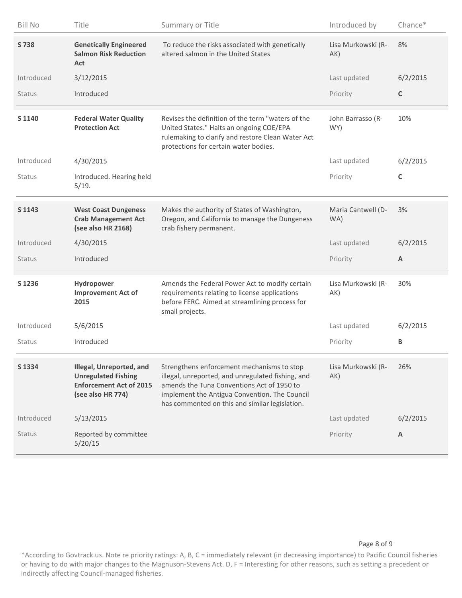| <b>Bill No</b> | Title                                                                                                         | Summary or Title                                                                                                                                                                                                                                 | Introduced by             | Chance*  |
|----------------|---------------------------------------------------------------------------------------------------------------|--------------------------------------------------------------------------------------------------------------------------------------------------------------------------------------------------------------------------------------------------|---------------------------|----------|
| S 738          | <b>Genetically Engineered</b><br><b>Salmon Risk Reduction</b><br>Act                                          | To reduce the risks associated with genetically<br>altered salmon in the United States                                                                                                                                                           | Lisa Murkowski (R-<br>AK) | 8%       |
| Introduced     | 3/12/2015                                                                                                     |                                                                                                                                                                                                                                                  | Last updated              | 6/2/2015 |
| Status         | Introduced                                                                                                    |                                                                                                                                                                                                                                                  | Priority                  | C        |
| S 1140         | <b>Federal Water Quality</b><br><b>Protection Act</b>                                                         | Revises the definition of the term "waters of the<br>United States." Halts an ongoing COE/EPA<br>rulemaking to clarify and restore Clean Water Act<br>protections for certain water bodies.                                                      | John Barrasso (R-<br>WY)  | 10%      |
| Introduced     | 4/30/2015                                                                                                     |                                                                                                                                                                                                                                                  | Last updated              | 6/2/2015 |
| Status         | Introduced. Hearing held<br>5/19.                                                                             |                                                                                                                                                                                                                                                  | Priority                  | C        |
| S 1143         | <b>West Coast Dungeness</b><br><b>Crab Management Act</b><br>(see also HR 2168)                               | Makes the authority of States of Washington,<br>Oregon, and California to manage the Dungeness<br>crab fishery permanent.                                                                                                                        | Maria Cantwell (D-<br>WA) | 3%       |
|                |                                                                                                               |                                                                                                                                                                                                                                                  |                           |          |
| Introduced     | 4/30/2015                                                                                                     |                                                                                                                                                                                                                                                  | Last updated              | 6/2/2015 |
| Status         | Introduced                                                                                                    |                                                                                                                                                                                                                                                  | Priority                  | A        |
| S 1236         | Hydropower<br><b>Improvement Act of</b><br>2015                                                               | Amends the Federal Power Act to modify certain<br>requirements relating to license applications<br>before FERC. Aimed at streamlining process for<br>small projects.                                                                             | Lisa Murkowski (R-<br>AK) | 30%      |
| Introduced     | 5/6/2015                                                                                                      |                                                                                                                                                                                                                                                  | Last updated              | 6/2/2015 |
| Status         | Introduced                                                                                                    |                                                                                                                                                                                                                                                  | Priority                  | В        |
| S 1334         | Illegal, Unreported, and<br><b>Unregulated Fishing</b><br><b>Enforcement Act of 2015</b><br>(see also HR 774) | Strengthens enforcement mechanisms to stop<br>illegal, unreported, and unregulated fishing, and<br>amends the Tuna Conventions Act of 1950 to<br>implement the Antigua Convention. The Council<br>has commented on this and similar legislation. | Lisa Murkowski (R-<br>AK) | 26%      |
| Introduced     | 5/13/2015                                                                                                     |                                                                                                                                                                                                                                                  | Last updated              | 6/2/2015 |